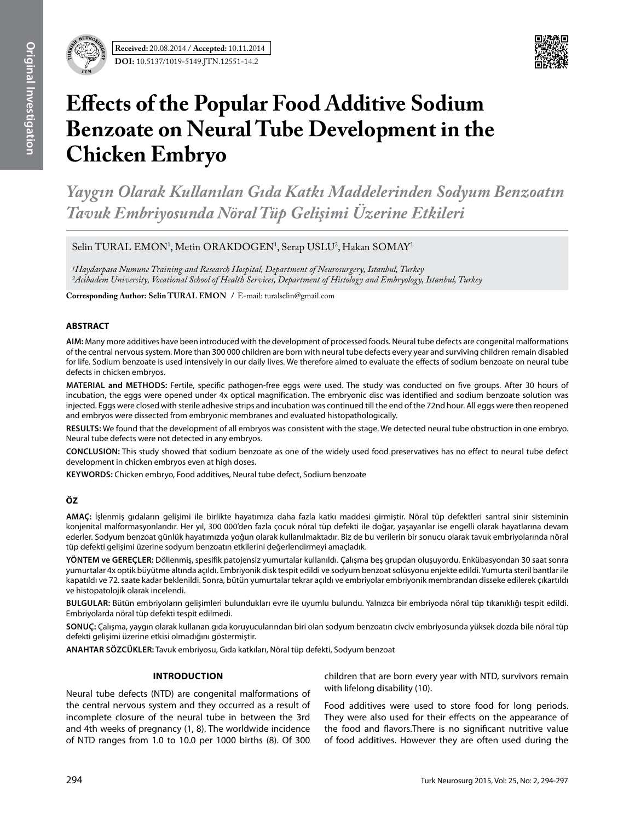



# **Effects of the Popular Food Additive Sodium Benzoate on Neural Tube Development in the Chicken Embryo**

*Yaygın Olarak Kullanılan Gıda Katkı Maddelerinden Sodyum Benzoatın Tavuk Embriyosunda Nöral Tüp Gelişimi Üzerine Etkileri*

Selin TURAL EMON<sup>1</sup>, Metin ORAKDOGEN<sup>1</sup>, Serap USLU<sup>2</sup>, Hakan SOMAY<sup>1</sup>

*1Haydarpasa Numune Training and Research Hospital, Department of Neurosurgery, Istanbul, Turkey 2Acibadem University, Vocational School of Health Services, Department of Histology and Embryology, Istanbul, Turkey*

**Corresponding Author: Selin TURAL EMON / E-mail: turalselin@gmail.com** 

## **ABSTRACT**

**AIm:** Many more additives have been introduced with the development of processed foods. Neural tube defects are congenital malformations of the central nervous system. More than 300 000 children are born with neural tube defects every year and surviving children remain disabled for life. Sodium benzoate is used intensively in our daily lives. We therefore aimed to evaluate the effects of sodium benzoate on neural tube defects in chicken embryos.

**MaterIal and Methods:** Fertile, specific pathogen-free eggs were used. The study was conducted on five groups. After 30 hours of incubation, the eggs were opened under 4x optical magnification. The embryonic disc was identified and sodium benzoate solution was injected. Eggs were closed with sterile adhesive strips and incubation was continued till the end of the 72nd hour. All eggs were then reopened and embryos were dissected from embryonic membranes and evaluated histopathologically.

**Results:** We found that the development of all embryos was consistent with the stage. We detected neural tube obstruction in one embryo. Neural tube defects were not detected in any embryos.

**ConclusIon:** This study showed that sodium benzoate as one of the widely used food preservatives has no effect to neural tube defect development in chicken embryos even at high doses.

**Keywords:** Chicken embryo, Food additives, Neural tube defect, Sodium benzoate

## **ÖZ**

**AMAÇ:** İşlenmiş gıdaların gelişimi ile birlikte hayatımıza daha fazla katkı maddesi girmiştir. Nöral tüp defektleri santral sinir sisteminin konjenital malformasyonlarıdır. Her yıl, 300 000'den fazla çocuk nöral tüp defekti ile doğar, yaşayanlar ise engelli olarak hayatlarına devam ederler. Sodyum benzoat günlük hayatımızda yoğun olarak kullanılmaktadır. Biz de bu verilerin bir sonucu olarak tavuk embriyolarında nöral tüp defekti gelişimi üzerine sodyum benzoatın etkilerini değerlendirmeyi amaçladık.

**YÖNTEM ve GEREÇLER:** Döllenmiş, spesifik patojensiz yumurtalar kullanıldı. Çalışma beş grupdan oluşuyordu. Enkübasyondan 30 saat sonra yumurtalar 4x optik büyütme altında açıldı. Embriyonik disk tespit edildi ve sodyum benzoat solüsyonu enjekte edildi. Yumurta steril bantlar ile kapatıldı ve 72. saate kadar beklenildi. Sonra, bütün yumurtalar tekrar açıldı ve embriyolar embriyonik membrandan disseke edilerek çıkartıldı ve histopatolojik olarak incelendi.

**BULGULAR:** Bütün embriyoların gelişimleri bulundukları evre ile uyumlu bulundu. Yalnızca bir embriyoda nöral tüp tıkanıklığı tespit edildi. Embriyolarda nöral tüp defekti tespit edilmedi.

**SONUÇ:** Çalışma, yaygın olarak kullanan gıda koruyucularından biri olan sodyum benzoatın civciv embriyosunda yüksek dozda bile nöral tüp defekti gelişimi üzerine etkisi olmadığını göstermiştir.

**ANAHTAR SÖZCÜKLER:** Tavuk embriyosu, Gıda katkıları, Nöral tüp defekti, Sodyum benzoat

#### **Introduction**

Neural tube defects (NTD) are congenital malformations of the central nervous system and they occurred as a result of incomplete closure of the neural tube in between the 3rd and 4th weeks of pregnancy (1, 8). The worldwide incidence of NTD ranges from 1.0 to 10.0 per 1000 births (8). Of 300 children that are born every year with NTD, survivors remain with lifelong disability (10).

Food additives were used to store food for long periods. They were also used for their effects on the appearance of the food and flavors.There is no significant nutritive value of food additives. However they are often used during the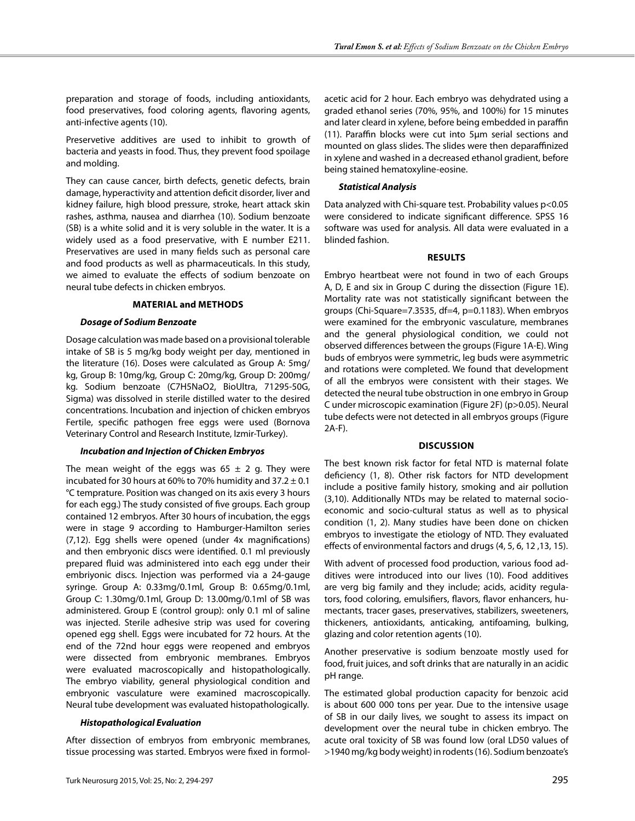preparation and storage of foods, including antioxidants, food preservatives, food coloring agents, flavoring agents, anti-infective agents (10).

Preservetive additives are used to inhibit to growth of bacteria and yeasts in food. Thus, they prevent food spoilage and molding.

They can cause cancer, birth defects, genetic defects, brain damage, hyperactivity and attention deficit disorder, liver and kidney failure, high blood pressure, stroke, heart attack skin rashes, asthma, nausea and diarrhea (10). Sodium benzoate (SB) is a white solid and it is very soluble in the water. It is a widely used as a food preservative, with E number E211. Preservatives are used in many fields such as personal care and food products as well as pharmaceuticals. In this study, we aimed to evaluate the effects of sodium benzoate on neural tube defects in chicken embryos.

#### **Material and Methods**

#### *Dosage of Sodium Benzoate*

Dosage calculation was made based on a provisional tolerable intake of SB is 5 mg/kg body weight per day, mentioned in the literature (16). Doses were calculated as Group A: 5mg/ kg, Group B: 10mg/kg, Group C: 20mg/kg, Group D: 200mg/ kg. Sodium benzoate (C7H5NaO2, BioUltra, 71295-50G, Sigma) was dissolved in sterile distilled water to the desired concentrations. Incubation and injection of chicken embryos Fertile, specific pathogen free eggs were used (Bornova Veterinary Control and Research Institute, Izmir-Turkey).

## *Incubation and Injection of Chicken Embryos*

The mean weight of the eggs was  $65 \pm 2$  g. They were incubated for 30 hours at 60% to 70% humidity and  $37.2 \pm 0.1$ °C temprature. Position was changed on its axis every 3 hours for each egg.) The study consisted of five groups. Each group contained 12 embryos. After 30 hours of incubation, the eggs were in stage 9 according to Hamburger-Hamilton series (7,12). Egg shells were opened (under 4x magnifications) and then embryonic discs were identified. 0.1 ml previously prepared fluid was administered into each egg under their embriyonic discs. Injection was performed via a 24-gauge syringe. Group A: 0.33mg/0.1ml, Group B: 0.65mg/0.1ml, Group C: 1.30mg/0.1ml, Group D: 13.00mg/0.1ml of SB was administered. Group E (control group): only 0.1 ml of saline was injected. Sterile adhesive strip was used for covering opened egg shell. Eggs were incubated for 72 hours. At the end of the 72nd hour eggs were reopened and embryos were dissected from embryonic membranes. Embryos were evaluated macroscopically and histopathologically. The embryo viability, general physiological condition and embryonic vasculature were examined macroscopically. Neural tube development was evaluated histopathologically.

## *Histopathological Evaluation*

After dissection of embryos from embryonic membranes, tissue processing was started. Embryos were fixed in formol-

acetic acid for 2 hour. Each embryo was dehydrated using a graded ethanol series (70%, 95%, and 100%) for 15 minutes and later cleard in xylene, before being embedded in paraffin (11). Paraffin blocks were cut into 5µm serial sections and mounted on glass slides. The slides were then deparaffinized in xylene and washed in a decreased ethanol gradient, before being stained hematoxyline-eosine.

## *Statistical Analysis*

Data analyzed with Chi-square test. Probability values p<0.05 were considered to indicate significant difference. SPSS 16 software was used for analysis. All data were evaluated in a blinded fashion.

## **Results**

Embryo heartbeat were not found in two of each Groups A, D, E and six in Group C during the dissection (Figure 1E). Mortality rate was not statistically significant between the groups (Chi-Square=7.3535, df=4, p=0.1183). When embryos were examined for the embryonic vasculature, membranes and the general physiological condition, we could not observed differences between the groups (Figure 1A-E). Wing buds of embryos were symmetric, leg buds were asymmetric and rotations were completed. We found that development of all the embryos were consistent with their stages. We detected the neural tube obstruction in one embryo in Group C under microscopic examination (Figure 2f) (p>0.05). Neural tube defects were not detected in all embryos groups (Figure 2A-F).

## **Discussion**

The best known risk factor for fetal NTD is maternal folate deficiency (1, 8). Other risk factors for NTD development include a positive family history, smoking and air pollution (3,10). Additionally NTDs may be related to maternal socioeconomic and socio-cultural status as well as to physical condition (1, 2). Many studies have been done on chicken embryos to investigate the etiology of NTD. They evaluated effects of environmental factors and drugs (4, 5, 6, 12 ,13, 15).

With advent of processed food production, various food additives were introduced into our lives (10). Food additives are verg big family and they include; acids, acidity regulators, food coloring, emulsifiers, flavors, flavor enhancers, humectants, tracer gases, preservatives, stabilizers, sweeteners, thickeners, antioxidants, anticaking, antifoaming, bulking, glazing and color retention agents (10).

Another preservative is sodium benzoate mostly used for food, fruit juices, and soft drinks that are naturally in an acidic pH range.

The estimated global production capacity for benzoic acid is about 600 000 tons per year. Due to the intensive usage of SB in our daily lives, we sought to assess its impact on development over the neural tube in chicken embryo. The acute oral toxicity of SB was found low (oral LD50 values of >1940 mg/kg body weight) in rodents (16). Sodium benzoate's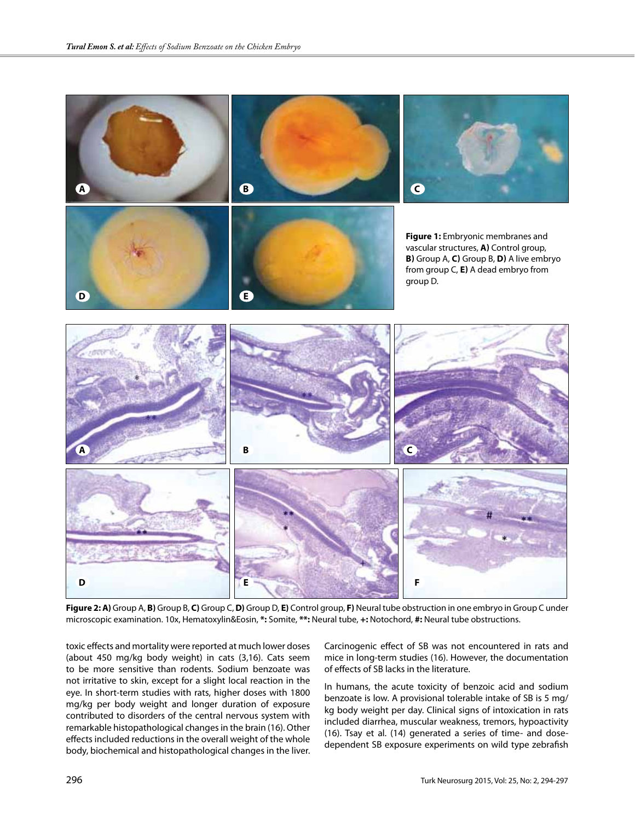

**Figure 2: A)** Group A, **B)** Group B, **C)** Group C, **D)** Group D, **E)** Control group, **F)** Neural tube obstruction in one embryo in Group C under microscopic examination. 10x, Hematoxylin&Eosin, **\*:** Somite, **\*\*:** Neural tube, **+:** Notochord, **#:** Neural tube obstructions.

toxic effects and mortality were reported at much lower doses (about 450 mg/kg body weight) in cats (3,16). Cats seem to be more sensitive than rodents. Sodium benzoate was not irritative to skin, except for a slight local reaction in the eye. In short-term studies with rats, higher doses with 1800 mg/kg per body weight and longer duration of exposure contributed to disorders of the central nervous system with remarkable histopathological changes in the brain (16). Other effects included reductions in the overall weight of the whole body, biochemical and histopathological changes in the liver.

Carcinogenic effect of SB was not encountered in rats and mice in long-term studies (16). However, the documentation of effects of SB lacks in the literature.

In humans, the acute toxicity of benzoic acid and sodium benzoate is low. A provisional tolerable intake of SB is 5 mg/ kg body weight per day. Clinical signs of intoxication in rats included diarrhea, muscular weakness, tremors, hypoactivity (16). Tsay et al. (14) generated a series of time- and dosedependent SB exposure experiments on wild type zebrafish